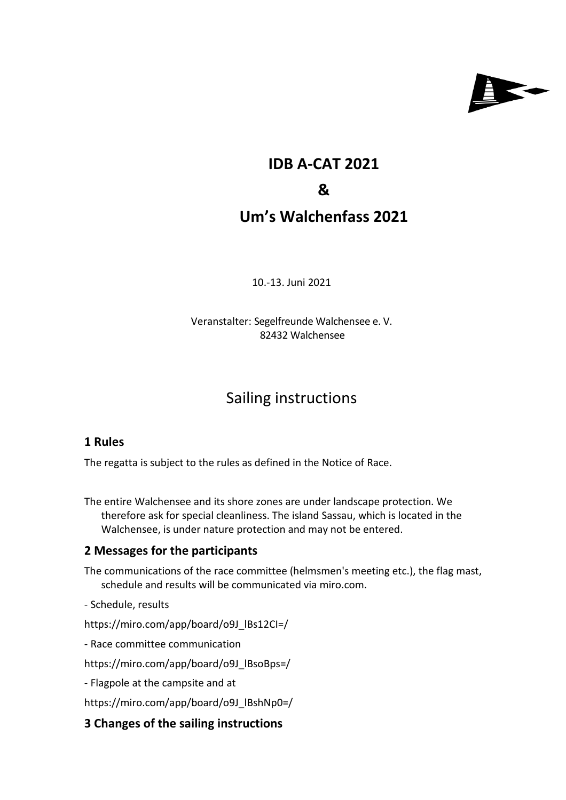

# **IDB A-CAT 2021 & Um's Walchenfass 2021**

10.-13. Juni 2021

Veranstalter: Segelfreunde Walchensee e. V. 82432 Walchensee

# Sailing instructions

#### **1 Rules**

The regatta is subject to the rules as defined in the Notice of Race.

The entire Walchensee and its shore zones are under landscape protection. We therefore ask for special cleanliness. The island Sassau, which is located in the Walchensee, is under nature protection and may not be entered.

## **2 Messages for the participants**

The communications of the race committee (helmsmen's meeting etc.), the flag mast, schedule and results will be communicated via miro.com.

- Schedule, results

https://miro.com/app/board/o9J\_lBs12CI=/

- Race committee communication

https://miro.com/app/board/o9J\_lBsoBps=/

- Flagpole at the campsite and at

https://miro.com/app/board/o9J\_lBshNp0=/

## **3 Changes of the sailing instructions**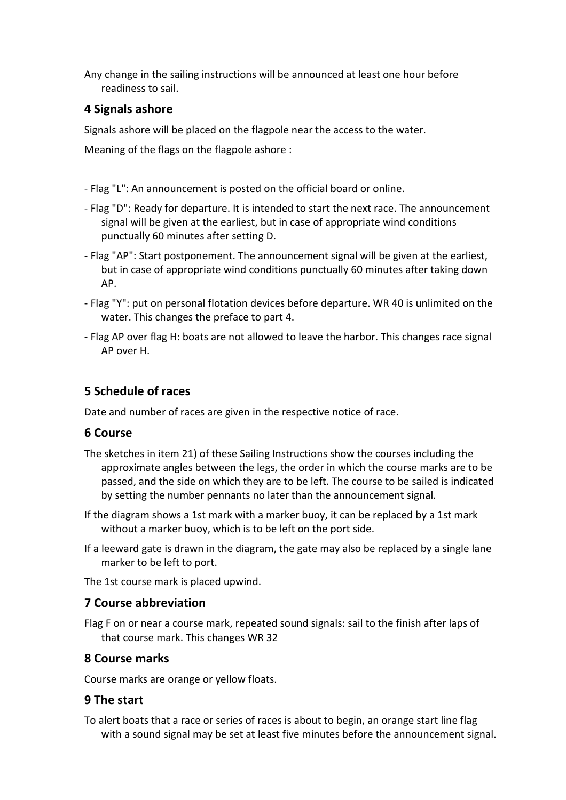Any change in the sailing instructions will be announced at least one hour before readiness to sail.

#### **4 Signals ashore**

Signals ashore will be placed on the flagpole near the access to the water.

Meaning of the flags on the flagpole ashore :

- Flag "L": An announcement is posted on the official board or online.
- Flag "D": Ready for departure. It is intended to start the next race. The announcement signal will be given at the earliest, but in case of appropriate wind conditions punctually 60 minutes after setting D.
- Flag "AP": Start postponement. The announcement signal will be given at the earliest, but in case of appropriate wind conditions punctually 60 minutes after taking down AP.
- Flag "Y": put on personal flotation devices before departure. WR 40 is unlimited on the water. This changes the preface to part 4.
- Flag AP over flag H: boats are not allowed to leave the harbor. This changes race signal AP over H.

#### **5 Schedule of races**

Date and number of races are given in the respective notice of race.

#### **6 Course**

- The sketches in item 21) of these Sailing Instructions show the courses including the approximate angles between the legs, the order in which the course marks are to be passed, and the side on which they are to be left. The course to be sailed is indicated by setting the number pennants no later than the announcement signal.
- If the diagram shows a 1st mark with a marker buoy, it can be replaced by a 1st mark without a marker buoy, which is to be left on the port side.
- If a leeward gate is drawn in the diagram, the gate may also be replaced by a single lane marker to be left to port.

The 1st course mark is placed upwind.

#### **7 Course abbreviation**

Flag F on or near a course mark, repeated sound signals: sail to the finish after laps of that course mark. This changes WR 32

#### **8 Course marks**

Course marks are orange or yellow floats.

#### **9 The start**

To alert boats that a race or series of races is about to begin, an orange start line flag with a sound signal may be set at least five minutes before the announcement signal.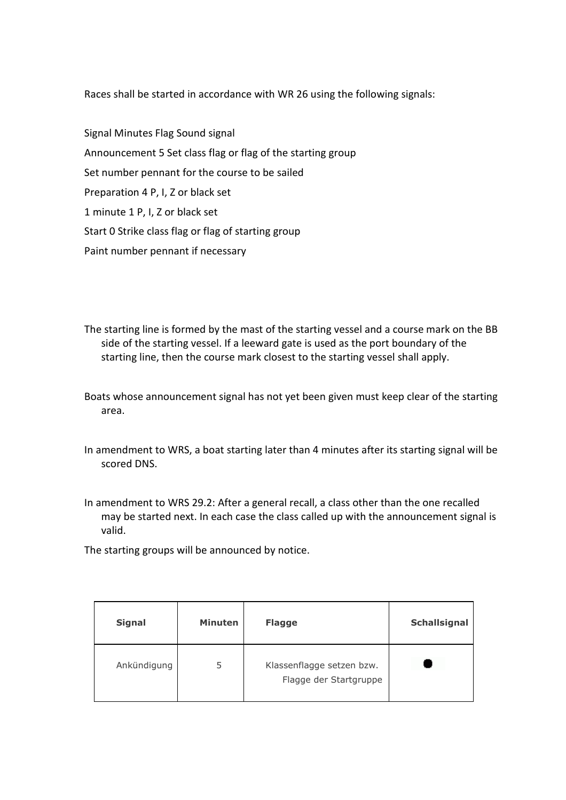Races shall be started in accordance with WR 26 using the following signals:

- Signal Minutes Flag Sound signal Announcement 5 Set class flag or flag of the starting group Set number pennant for the course to be sailed Preparation 4 P, I, Z or black set 1 minute 1 P, I, Z or black set Start 0 Strike class flag or flag of starting group Paint number pennant if necessary
- The starting line is formed by the mast of the starting vessel and a course mark on the BB side of the starting vessel. If a leeward gate is used as the port boundary of the starting line, then the course mark closest to the starting vessel shall apply.
- Boats whose announcement signal has not yet been given must keep clear of the starting area.
- In amendment to WRS, a boat starting later than 4 minutes after its starting signal will be scored DNS.
- In amendment to WRS 29.2: After a general recall, a class other than the one recalled may be started next. In each case the class called up with the announcement signal is valid.

The starting groups will be announced by notice.

| <b>Signal</b> | <b>Minuten</b> | <b>Flagge</b>                                       | Schallsignal |
|---------------|----------------|-----------------------------------------------------|--------------|
| Ankündigung   | 5              | Klassenflagge setzen bzw.<br>Flagge der Startgruppe |              |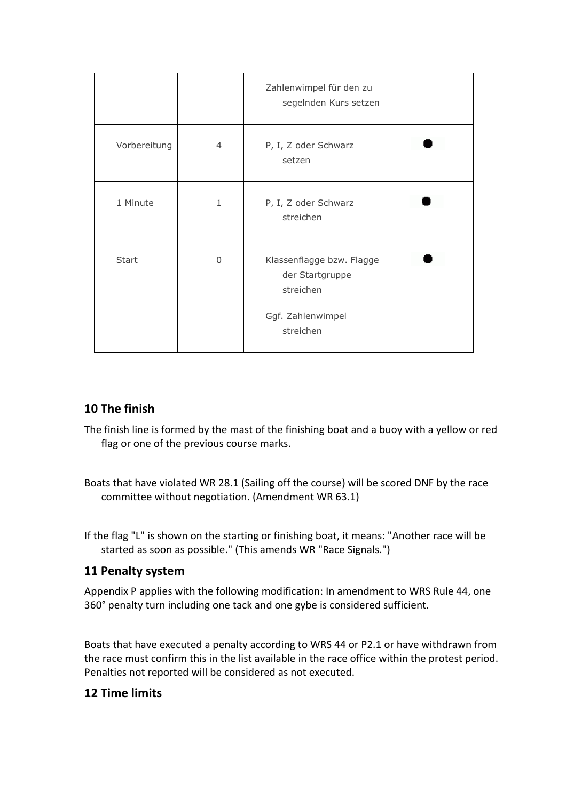|              |              | Zahlenwimpel für den zu<br>segelnden Kurs setzen          |  |
|--------------|--------------|-----------------------------------------------------------|--|
| Vorbereitung | 4            | P, I, Z oder Schwarz<br>setzen                            |  |
| 1 Minute     | $\mathbf{1}$ | P, I, Z oder Schwarz<br>streichen                         |  |
| <b>Start</b> | $\Omega$     | Klassenflagge bzw. Flagge<br>der Startgruppe<br>streichen |  |
|              |              | Ggf. Zahlenwimpel<br>streichen                            |  |

# **10 The finish**

- The finish line is formed by the mast of the finishing boat and a buoy with a yellow or red flag or one of the previous course marks.
- Boats that have violated WR 28.1 (Sailing off the course) will be scored DNF by the race committee without negotiation. (Amendment WR 63.1)
- If the flag "L" is shown on the starting or finishing boat, it means: "Another race will be started as soon as possible." (This amends WR "Race Signals.")

## **11 Penalty system**

Appendix P applies with the following modification: In amendment to WRS Rule 44, one 360° penalty turn including one tack and one gybe is considered sufficient.

Boats that have executed a penalty according to WRS 44 or P2.1 or have withdrawn from the race must confirm this in the list available in the race office within the protest period. Penalties not reported will be considered as not executed.

## **12 Time limits**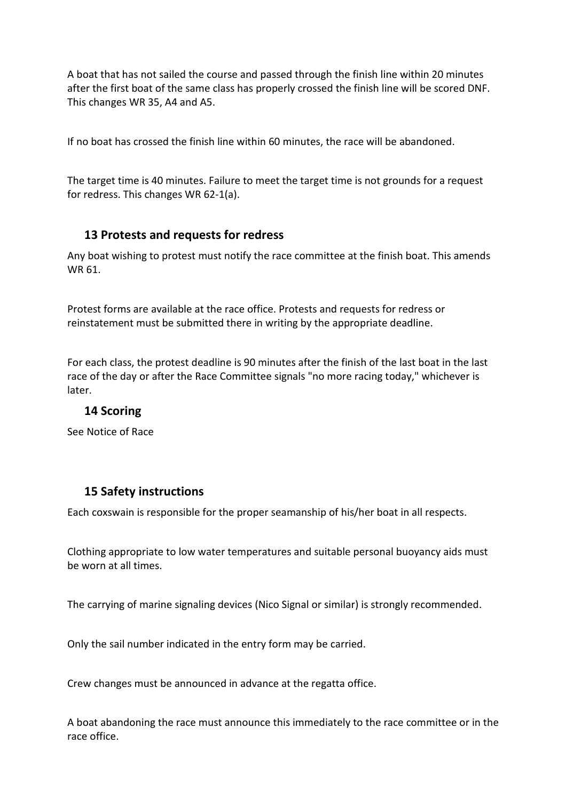A boat that has not sailed the course and passed through the finish line within 20 minutes after the first boat of the same class has properly crossed the finish line will be scored DNF. This changes WR 35, A4 and A5.

If no boat has crossed the finish line within 60 minutes, the race will be abandoned.

The target time is 40 minutes. Failure to meet the target time is not grounds for a request for redress. This changes WR 62-1(a).

#### **13 Protests and requests for redress**

Any boat wishing to protest must notify the race committee at the finish boat. This amends WR 61.

Protest forms are available at the race office. Protests and requests for redress or reinstatement must be submitted there in writing by the appropriate deadline.

For each class, the protest deadline is 90 minutes after the finish of the last boat in the last race of the day or after the Race Committee signals "no more racing today," whichever is later.

## **14 Scoring**

See Notice of Race

## **15 Safety instructions**

Each coxswain is responsible for the proper seamanship of his/her boat in all respects.

Clothing appropriate to low water temperatures and suitable personal buoyancy aids must be worn at all times.

The carrying of marine signaling devices (Nico Signal or similar) is strongly recommended.

Only the sail number indicated in the entry form may be carried.

Crew changes must be announced in advance at the regatta office.

A boat abandoning the race must announce this immediately to the race committee or in the race office.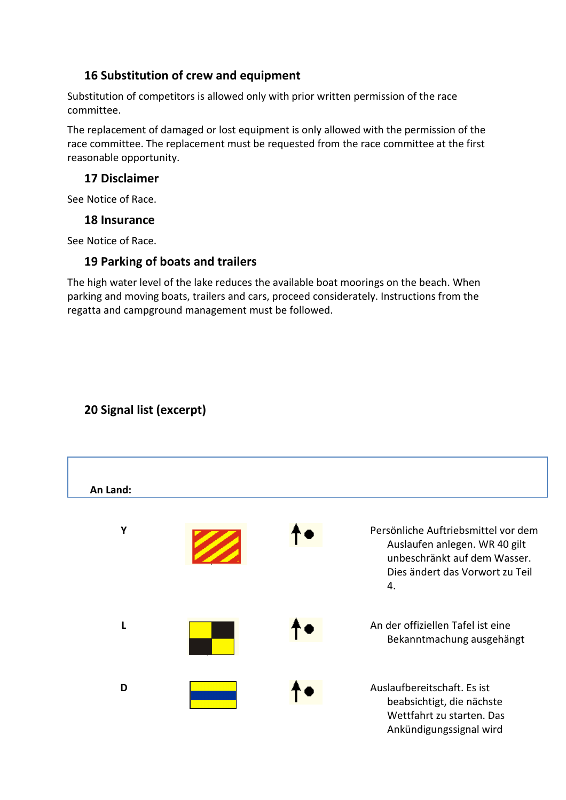## **16 Substitution of crew and equipment**

Substitution of competitors is allowed only with prior written permission of the race committee.

The replacement of damaged or lost equipment is only allowed with the permission of the race committee. The replacement must be requested from the race committee at the first reasonable opportunity.

#### **17 Disclaimer**

See Notice of Race.

#### **18 Insurance**

See Notice of Race.

## **19 Parking of boats and trailers**

The high water level of the lake reduces the available boat moorings on the beach. When parking and moving boats, trailers and cars, proceed considerately. Instructions from the regatta and campground management must be followed.

# **20 Signal list (excerpt)**

| An Land: |  |                                                                                                                                               |
|----------|--|-----------------------------------------------------------------------------------------------------------------------------------------------|
| Y        |  | Persönliche Auftriebsmittel vor dem<br>Auslaufen anlegen. WR 40 gilt<br>unbeschränkt auf dem Wasser.<br>Dies ändert das Vorwort zu Teil<br>4. |
| L        |  | An der offiziellen Tafel ist eine<br>Bekanntmachung ausgehängt                                                                                |
| D        |  | Auslaufbereitschaft. Es ist<br>beabsichtigt, die nächste<br>Wettfahrt zu starten. Das<br>Ankündigungssignal wird                              |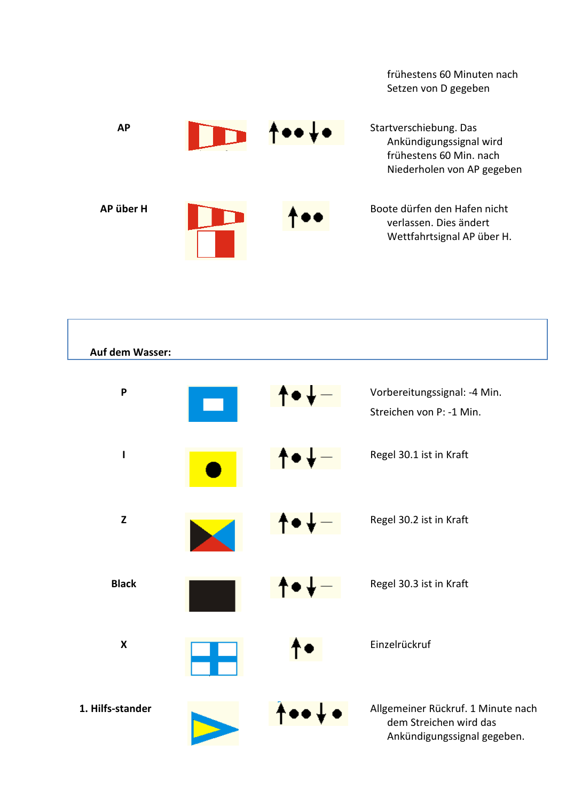frühestens 60 Minuten nach Setzen von D gegeben



| Auf dem Wasser:           |         |                                                                                             |
|---------------------------|---------|---------------------------------------------------------------------------------------------|
| P                         | ↑       | Vorbereitungssignal: - 4 Min.<br>Streichen von P: -1 Min.                                   |
| $\mathbf{I}$              | f       | Regel 30.1 ist in Kraft                                                                     |
| $\mathbf{Z}$              | ↟●↡─    | Regel 30.2 ist in Kraft                                                                     |
| <b>Black</b>              | $\bf T$ | Regel 30.3 ist in Kraft                                                                     |
| $\boldsymbol{\mathsf{X}}$ |         | Einzelrückruf                                                                               |
| 1. Hilfs-stander          |         | Allgemeiner Rückruf. 1 Minute nach<br>dem Streichen wird das<br>Ankündigungssignal gegeben. |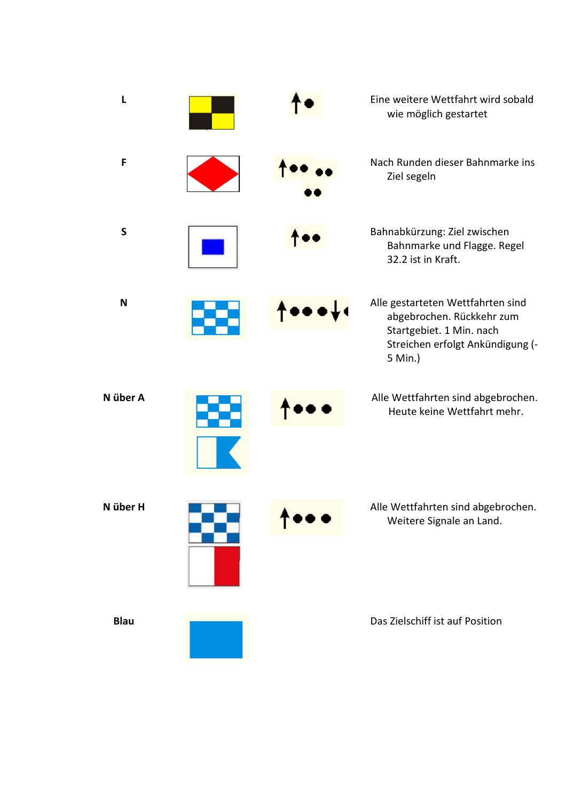| L            |  | Eine weitere Wettfahrt wird sobald<br>wie möglich gestartet                                                                               |
|--------------|--|-------------------------------------------------------------------------------------------------------------------------------------------|
| $\mathsf F$  |  | Nach Runden dieser Bahnmarke ins<br>Ziel segeln                                                                                           |
| $\mathsf{S}$ |  | Bahnabkürzung: Ziel zwischen<br>Bahnmarke und Flagge. Regel<br>32.2 ist in Kraft.                                                         |
| N            |  | Alle gestarteten Wettfahrten sind<br>abgebrochen. Rückkehr zum<br>Startgebiet. 1 Min. nach<br>Streichen erfolgt Ankündigung (-<br>5 Min.) |
| N über A     |  | Alle Wettfahrten sind abgebrochen.<br>Heute keine Wettfahrt mehr.                                                                         |
| N über H     |  | Alle Wettfahrten sind abgebrochen.<br>Weitere Signale an Land.                                                                            |
| <b>Blau</b>  |  | Das Zielschiff ist auf Position                                                                                                           |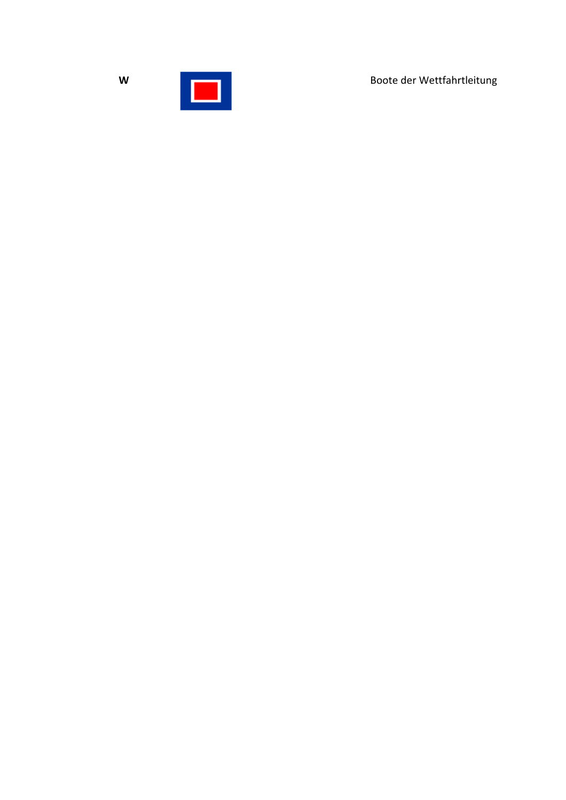Boote der Wettfahrtleitung



 $\mathsf{W}$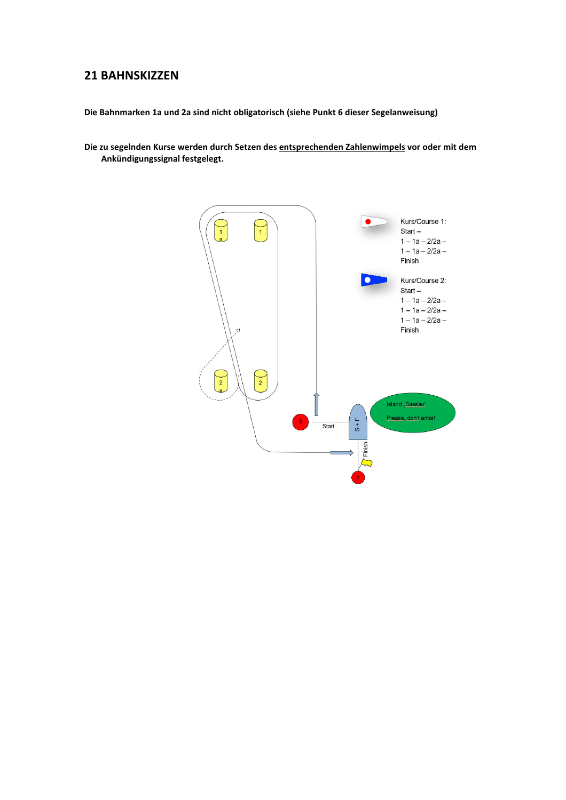#### **21 BAHNSKIZZEN**

**Die Bahnmarken 1a und 2a sind nicht obligatorisch (siehe Punkt 6 dieser Segelanweisung)** 

**Die zu segelnden Kurse werden durch Setzen des entsprechenden Zahlenwimpels vor oder mit dem Ankündigungssignal festgelegt.** 

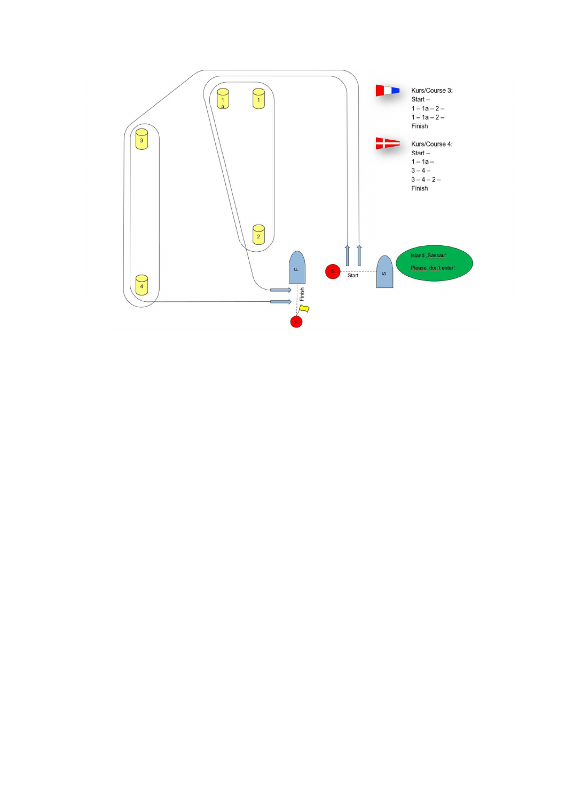